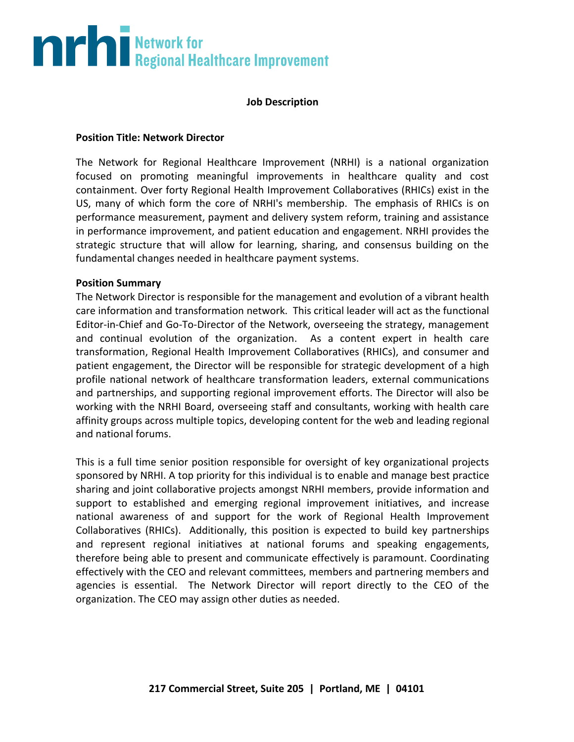## **The Second Burns of Second Healthcare Improvement**

### **Job Description**

### **Position Title: Network Director**

The Network for Regional Healthcare Improvement (NRHI) is a national organization focused on promoting meaningful improvements in healthcare quality and cost containment. Over forty Regional Health Improvement Collaboratives (RHICs) exist in the US, many of which form the core of NRHI's membership. The emphasis of RHICs is on performance measurement, payment and delivery system reform, training and assistance in performance improvement, and patient education and engagement. NRHI provides the strategic structure that will allow for learning, sharing, and consensus building on the fundamental changes needed in healthcare payment systems.

### **Position Summary**

The Network Director is responsible for the management and evolution of a vibrant health care information and transformation network. This critical leader will act as the functional Editor-in-Chief and Go-To-Director of the Network, overseeing the strategy, management and continual evolution of the organization. As a content expert in health care transformation, Regional Health Improvement Collaboratives (RHICs), and consumer and patient engagement, the Director will be responsible for strategic development of a high profile national network of healthcare transformation leaders, external communications and partnerships, and supporting regional improvement efforts. The Director will also be working with the NRHI Board, overseeing staff and consultants, working with health care affinity groups across multiple topics, developing content for the web and leading regional and national forums.

This is a full time senior position responsible for oversight of key organizational projects sponsored by NRHI. A top priority for this individual is to enable and manage best practice sharing and joint collaborative projects amongst NRHI members, provide information and support to established and emerging regional improvement initiatives, and increase national awareness of and support for the work of Regional Health Improvement Collaboratives (RHICs). Additionally, this position is expected to build key partnerships and represent regional initiatives at national forums and speaking engagements, therefore being able to present and communicate effectively is paramount. Coordinating effectively with the CEO and relevant committees, members and partnering members and agencies is essential. The Network Director will report directly to the CEO of the organization. The CEO may assign other duties as needed.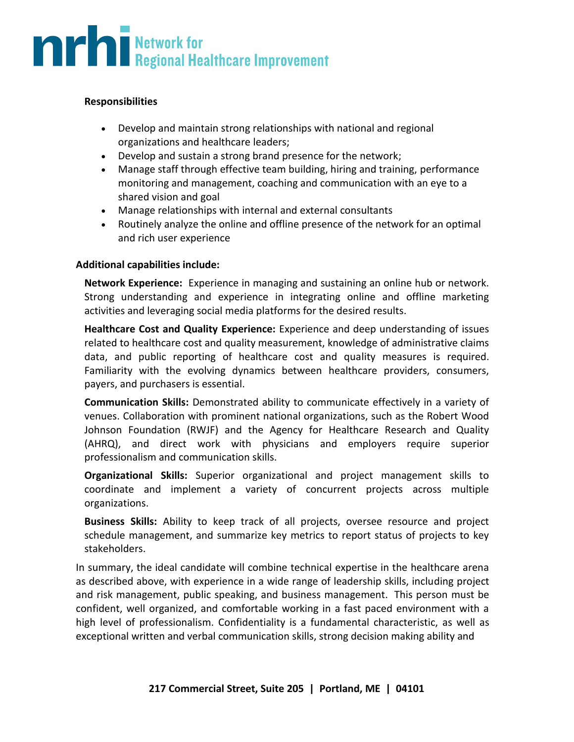# **The Second Burns of Second Healthcare Improvement**

### **Responsibilities**

- Develop and maintain strong relationships with national and regional organizations and healthcare leaders;
- Develop and sustain a strong brand presence for the network;
- Manage staff through effective team building, hiring and training, performance monitoring and management, coaching and communication with an eye to a shared vision and goal
- Manage relationships with internal and external consultants
- Routinely analyze the online and offline presence of the network for an optimal and rich user experience

### **Additional capabilities include:**

**Network Experience:** Experience in managing and sustaining an online hub or network. Strong understanding and experience in integrating online and offline marketing activities and leveraging social media platforms for the desired results.

**Healthcare Cost and Quality Experience:** Experience and deep understanding of issues related to healthcare cost and quality measurement, knowledge of administrative claims data, and public reporting of healthcare cost and quality measures is required. Familiarity with the evolving dynamics between healthcare providers, consumers, payers, and purchasers is essential.

**Communication Skills:** Demonstrated ability to communicate effectively in a variety of venues. Collaboration with prominent national organizations, such as the Robert Wood Johnson Foundation (RWJF) and the Agency for Healthcare Research and Quality (AHRQ), and direct work with physicians and employers require superior professionalism and communication skills.

**Organizational Skills:** Superior organizational and project management skills to coordinate and implement a variety of concurrent projects across multiple organizations.

**Business Skills:** Ability to keep track of all projects, oversee resource and project schedule management, and summarize key metrics to report status of projects to key stakeholders.

In summary, the ideal candidate will combine technical expertise in the healthcare arena as described above, with experience in a wide range of leadership skills, including project and risk management, public speaking, and business management. This person must be confident, well organized, and comfortable working in a fast paced environment with a high level of professionalism. Confidentiality is a fundamental characteristic, as well as exceptional written and verbal communication skills, strong decision making ability and